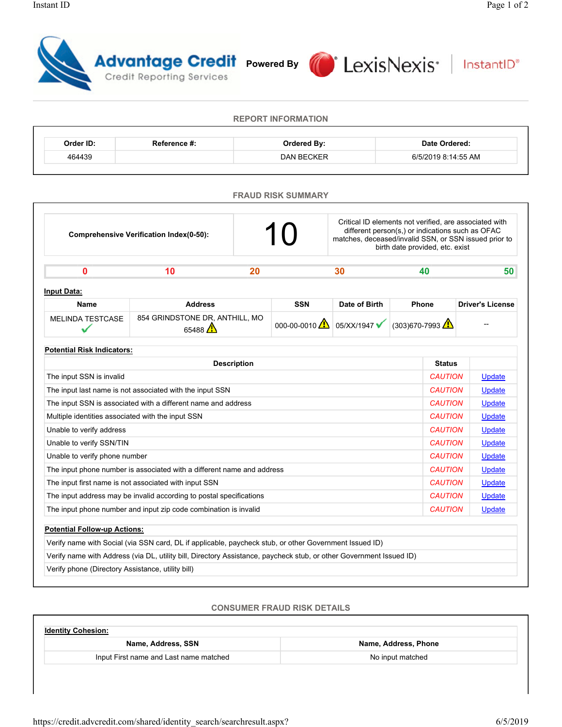

**REPORT INFORMATION**

| Order ID:                         | Reference #:                                        | <b>Ordered By:</b> |                           |                                                                                                                                                                     | Date Ordered:                                                             |                |                         |        |  |
|-----------------------------------|-----------------------------------------------------|--------------------|---------------------------|---------------------------------------------------------------------------------------------------------------------------------------------------------------------|---------------------------------------------------------------------------|----------------|-------------------------|--------|--|
| 464439                            |                                                     |                    | <b>DAN BECKER</b>         |                                                                                                                                                                     |                                                                           |                | 6/5/2019 8:14:55 AM     |        |  |
|                                   |                                                     |                    | <b>FRAUD RISK SUMMARY</b> |                                                                                                                                                                     |                                                                           |                |                         |        |  |
|                                   | Comprehensive Verification Index(0-50):             |                    | 10                        | Critical ID elements not verified, are associated with<br>different person(s,) or indications such as OFAC<br>matches, deceased/invalid SSN, or SSN issued prior to | birth date provided, etc. exist                                           |                |                         |        |  |
| 0                                 | 10                                                  | 20                 |                           | 30                                                                                                                                                                  |                                                                           | 40             |                         | 50     |  |
| <b>Input Data:</b>                |                                                     |                    |                           |                                                                                                                                                                     |                                                                           |                |                         |        |  |
| <b>Name</b>                       | <b>Address</b>                                      |                    | <b>SSN</b>                | Date of Birth                                                                                                                                                       | <b>Phone</b>                                                              |                | <b>Driver's License</b> |        |  |
| <b>MELINDA TESTCASE</b>           | 854 GRINDSTONE DR, ANTHILL, MO<br>65488 $\triangle$ |                    |                           |                                                                                                                                                                     | 000-00-0010 $\triangle$ 05/XX/1947 $\checkmark$ (303)670-7993 $\triangle$ |                |                         |        |  |
| <b>Potential Risk Indicators:</b> |                                                     |                    |                           |                                                                                                                                                                     |                                                                           |                |                         |        |  |
|                                   |                                                     |                    |                           |                                                                                                                                                                     |                                                                           | <b>Status</b>  |                         |        |  |
|                                   |                                                     | <b>Description</b> |                           |                                                                                                                                                                     |                                                                           |                |                         |        |  |
| The input SSN is invalid          |                                                     |                    |                           |                                                                                                                                                                     |                                                                           | <b>CAUTION</b> |                         | Update |  |

| The input last name is not associated with the input SSN               | <b>CAUTION</b> | Update        |
|------------------------------------------------------------------------|----------------|---------------|
| The input SSN is associated with a different name and address          | <b>CAUTION</b> | Update        |
| Multiple identities associated with the input SSN                      | <b>CAUTION</b> | <b>Update</b> |
| Unable to verify address                                               | <b>CAUTION</b> | Update        |
| Unable to verify SSN/TIN                                               | <b>CAUTION</b> | Update        |
| Unable to verify phone number                                          | <b>CAUTION</b> | Update        |
| The input phone number is associated with a different name and address | <b>CAUTION</b> | Update        |
| The input first name is not associated with input SSN                  | <b>CAUTION</b> | Update        |
| The input address may be invalid according to postal specifications    | <b>CAUTION</b> | Update        |
| The input phone number and input zip code combination is invalid       | <b>CAUTION</b> | <b>Update</b> |
|                                                                        |                |               |

| <b>Potential Follow-up Actions:</b>                                                                                 |
|---------------------------------------------------------------------------------------------------------------------|
| Verify name with Social (via SSN card, DL if applicable, paycheck stub, or other Government Issued ID)              |
| Verify name with Address (via DL, utility bill, Directory Assistance, paycheck stub, or other Government Issued ID) |
| Verify phone (Directory Assistance, utility bill)                                                                   |

## **CONSUMER FRAUD RISK DETAILS**

| <b>Identity Cohesion:</b>              |                      |  |  |  |  |
|----------------------------------------|----------------------|--|--|--|--|
| Name, Address, SSN                     | Name, Address, Phone |  |  |  |  |
| Input First name and Last name matched | No input matched     |  |  |  |  |